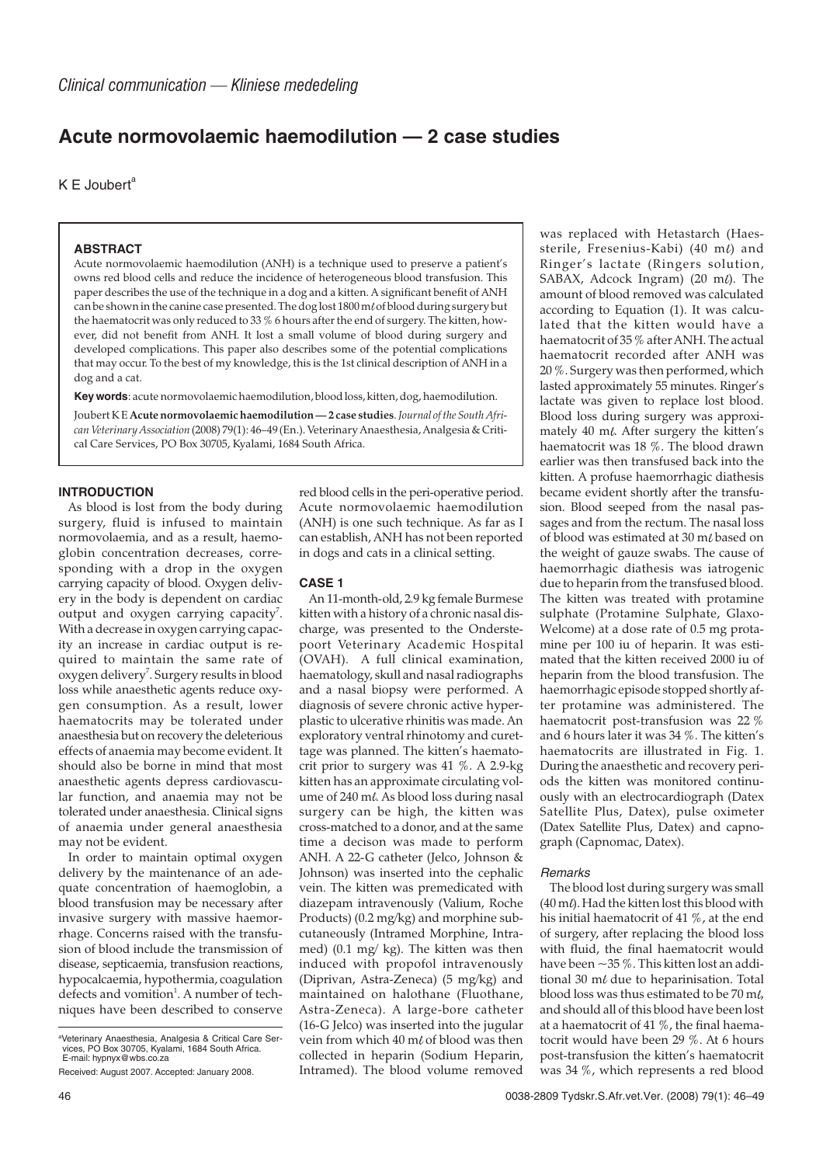# **Acute normovolaemic haemodilution — 2 case studies**

 $K \nightharpoonup$  Joubert<sup>a</sup>

# **ABSTRACT**

Acute normovolaemic haemodilution (ANH) is a technique used to preserve a patient's owns red blood cells and reduce the incidence of heterogeneous blood transfusion. This paper describes the use of the technique in a dog and a kitten. A significant benefit of ANH can be shown in the canine case presented. The dog lost  $1800 \text{ m/s}$  folood during surgery but the haematocrit was only reduced to 33 % 6 hours after the end of surgery. The kitten, however, did not benefit from ANH. It lost a small volume of blood during surgery and developed complications. This paper also describes some of the potential complications that may occur. To the best of my knowledge, this is the 1st clinical description of ANH in a dog and a cat.

**Key words**: acute normovolaemic haemodilution, blood loss, kitten, dog, haemodilution.

Joubert K E **Acute normovolaemic haemodilution — 2 case studies**.*Journal of the South African Veterinary Association* (2008) 79(1): 46–49 (En.). Veterinary Anaesthesia, Analgesia & Critical Care Services, PO Box 30705, Kyalami, 1684 South Africa.

# **INTRODUCTION**

As blood is lost from the body during surgery, fluid is infused to maintain normovolaemia, and as a result, haemoglobin concentration decreases, corresponding with a drop in the oxygen carrying capacity of blood. Oxygen delivery in the body is dependent on cardiac output and oxygen carrying capacity<sup>7</sup>. With a decrease in oxygen carrying capacity an increase in cardiac output is required to maintain the same rate of oxygen delivery<sup>7</sup>. Surgery results in blood loss while anaesthetic agents reduce oxygen consumption. As a result, lower haematocrits may be tolerated under anaesthesia but on recovery the deleterious effects of anaemia may become evident. It should also be borne in mind that most anaesthetic agents depress cardiovascular function, and anaemia may not be tolerated under anaesthesia. Clinical signs of anaemia under general anaesthesia may not be evident.

In order to maintain optimal oxygen delivery by the maintenance of an adequate concentration of haemoglobin, a blood transfusion may be necessary after invasive surgery with massive haemorrhage. Concerns raised with the transfusion of blood include the transmission of disease, septicaemia, transfusion reactions, hypocalcaemia, hypothermia, coagulation defects and vomition<sup>1</sup>. A number of techniques have been described to conserve

red blood cells in the peri-operative period. Acute normovolaemic haemodilution (ANH) is one such technique. As far as I can establish, ANH has not been reported in dogs and cats in a clinical setting.

## **CASE 1**

An 11-month-old, 2.9 kg female Burmese kitten with a history of a chronic nasal discharge, was presented to the Onderstepoort Veterinary Academic Hospital (OVAH). A full clinical examination, haematology, skull and nasal radiographs and a nasal biopsy were performed. A diagnosis of severe chronic active hyperplastic to ulcerative rhinitis was made. An exploratory ventral rhinotomy and curettage was planned. The kitten's haematocrit prior to surgery was 41 %. A 2.9-kg kitten has an approximate circulating volume of 240 ml. As blood loss during nasal surgery can be high, the kitten was cross-matched to a donor, and at the same time a decison was made to perform ANH. A 22-G catheter (Jelco, Johnson & Johnson) was inserted into the cephalic vein. The kitten was premedicated with diazepam intravenously (Valium, Roche Products) (0.2 mg/kg) and morphine subcutaneously (Intramed Morphine, Intramed) (0.1 mg/ kg). The kitten was then induced with propofol intravenously (Diprivan, Astra-Zeneca) (5 mg/kg) and maintained on halothane (Fluothane, Astra-Zeneca). A large-bore catheter (16-G Jelco) was inserted into the jugular vein from which 40 m $\ell$  of blood was then collected in heparin (Sodium Heparin, Intramed). The blood volume removed

was replaced with Hetastarch (Haessterile, Fresenius-Kabi) (40 m $\ell$ ) and Ringer's lactate (Ringers solution, SABAX, Adcock Ingram) (20 m $\ell$ ). The amount of blood removed was calculated according to Equation (1). It was calculated that the kitten would have a haematocrit of 35 % after ANH. The actual haematocrit recorded after ANH was 20 %. Surgery was then performed, which lasted approximately 55 minutes. Ringer's lactate was given to replace lost blood. Blood loss during surgery was approximately 40 ml. After surgery the kitten's haematocrit was 18 %. The blood drawn earlier was then transfused back into the kitten. A profuse haemorrhagic diathesis became evident shortly after the transfusion. Blood seeped from the nasal passages and from the rectum. The nasal loss of blood was estimated at 30 ml based on the weight of gauze swabs. The cause of haemorrhagic diathesis was iatrogenic due to heparin from the transfused blood. The kitten was treated with protamine sulphate (Protamine Sulphate, Glaxo-Welcome) at a dose rate of 0.5 mg protamine per 100 iu of heparin. It was estimated that the kitten received 2000 iu of heparin from the blood transfusion. The haemorrhagic episode stopped shortly after protamine was administered. The haematocrit post-transfusion was 22 % and 6 hours later it was 34 %. The kitten's haematocrits are illustrated in Fig. 1. During the anaesthetic and recovery periods the kitten was monitored continuously with an electrocardiograph (Datex Satellite Plus, Datex), pulse oximeter (Datex Satellite Plus, Datex) and capnograph (Capnomac, Datex).

## Remarks

The blood lost during surgery was small  $(40 \text{ m}$ ). Had the kitten lost this blood with his initial haematocrit of 41 %, at the end of surgery, after replacing the blood loss with fluid, the final haematocrit would have been  $\approx$  35 %. This kitten lost an additional 30  $m\ell$  due to heparinisation. Total blood loss was thus estimated to be  $70$  m $\ell$ . and should all of this blood have been lost at a haematocrit of 41 %, the final haematocrit would have been 29 %. At 6 hours post-transfusion the kitten's haematocrit was 34 %, which represents a red blood

a Veterinary Anaesthesia, Analgesia & Critical Care Ser-vices, PO Box 30705, Kyalami, 1684 South Africa. E-mail: hypnyx@wbs.co.za

Received: August 2007. Accepted: January 2008.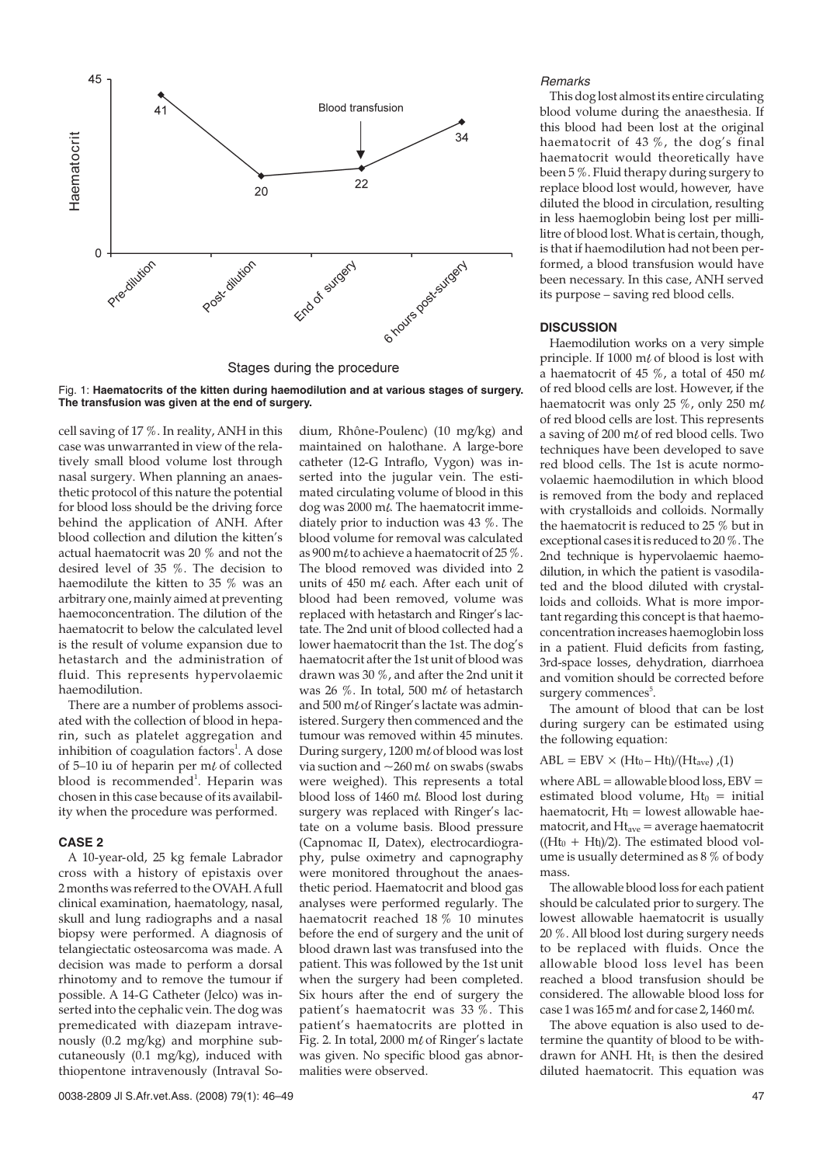

Stages during the procedure

Fig. 1: **Haematocrits of the kitten during haemodilution and at various stages of surgery. The transfusion was given at the end of surgery.**

cell saving of 17 %. In reality, ANH in this case was unwarranted in view of the relatively small blood volume lost through nasal surgery. When planning an anaesthetic protocol of this nature the potential for blood loss should be the driving force behind the application of ANH. After blood collection and dilution the kitten's actual haematocrit was 20 % and not the desired level of 35 %. The decision to haemodilute the kitten to 35 % was an arbitrary one, mainly aimed at preventing haemoconcentration. The dilution of the haematocrit to below the calculated level is the result of volume expansion due to hetastarch and the administration of fluid. This represents hypervolaemic haemodilution.

There are a number of problems associated with the collection of blood in heparin, such as platelet aggregation and inhibition of coagulation factors<sup>1</sup>. A dose of 5–10 iu of heparin per m $\ell$  of collected blood is recommended<sup>1</sup>. Heparin was chosen in this case because of its availability when the procedure was performed.

## **CASE 2**

A 10-year-old, 25 kg female Labrador cross with a history of epistaxis over 2 months was referred to the OVAH. A full clinical examination, haematology, nasal, skull and lung radiographs and a nasal biopsy were performed. A diagnosis of telangiectatic osteosarcoma was made. A decision was made to perform a dorsal rhinotomy and to remove the tumour if possible. A 14-G Catheter (Jelco) was inserted into the cephalic vein. The dog was premedicated with diazepam intravenously (0.2 mg/kg) and morphine subcutaneously (0.1 mg/kg), induced with thiopentone intravenously (Intraval Somaintained on halothane. A large-bore catheter (12-G Intraflo, Vygon) was inserted into the jugular vein. The estimated circulating volume of blood in this dog was 2000 ml. The haematocrit immediately prior to induction was 43 %. The blood volume for removal was calculated as 900 m/to achieve a haematocrit of 25  $\%$ . The blood removed was divided into 2 units of 450 m $\ell$  each. After each unit of blood had been removed, volume was replaced with hetastarch and Ringer's lactate. The 2nd unit of blood collected had a lower haematocrit than the 1st. The dog's haematocrit after the 1st unit of blood was drawn was 30 %, and after the 2nd unit it was 26 %. In total, 500 m $\ell$  of hetastarch and  $500$  m $\ell$  of Ringer's lactate was administered. Surgery then commenced and the tumour was removed within 45 minutes. During surgery,  $1200 \text{ m} \ell$  of blood was lost via suction and  $\sim$  260 m $\ell$  on swabs (swabs were weighed). This represents a total blood loss of 1460 ml. Blood lost during surgery was replaced with Ringer's lactate on a volume basis. Blood pressure (Capnomac II, Datex), electrocardiography, pulse oximetry and capnography were monitored throughout the anaesthetic period. Haematocrit and blood gas analyses were performed regularly. The haematocrit reached 18 % 10 minutes before the end of surgery and the unit of blood drawn last was transfused into the patient. This was followed by the 1st unit when the surgery had been completed. Six hours after the end of surgery the patient's haematocrit was 33 %. This patient's haematocrits are plotted in Fig. 2. In total, 2000 m $\ell$  of Ringer's lactate was given. No specific blood gas abnormalities were observed.

dium, Rhône-Poulenc) (10 mg/kg) and

#### Remarks

This dog lost almost its entire circulating blood volume during the anaesthesia. If this blood had been lost at the original haematocrit of 43 %, the dog's final haematocrit would theoretically have been 5 %. Fluid therapy during surgery to replace blood lost would, however, have diluted the blood in circulation, resulting in less haemoglobin being lost per millilitre of blood lost. What is certain, though, is that if haemodilution had not been performed, a blood transfusion would have been necessary. In this case, ANH served its purpose – saving red blood cells.

## **DISCUSSION**

Haemodilution works on a very simple principle. If  $1000 \text{ m}$  of blood is lost with a haematocrit of 45 %, a total of 450 m $\ell$ of red blood cells are lost. However, if the haematocrit was only 25 %, only 250 m of red blood cells are lost. This represents a saving of 200 m $\ell$  of red blood cells. Two techniques have been developed to save red blood cells. The 1st is acute normovolaemic haemodilution in which blood is removed from the body and replaced with crystalloids and colloids. Normally the haematocrit is reduced to 25 % but in exceptional cases it is reduced to 20 %. The 2nd technique is hypervolaemic haemodilution, in which the patient is vasodilated and the blood diluted with crystalloids and colloids. What is more important regarding this concept is that haemoconcentration increases haemoglobin loss in a patient. Fluid deficits from fasting, 3rd-space losses, dehydration, diarrhoea and vomition should be corrected before surgery commences<sup>5</sup>.

The amount of blood that can be lost during surgery can be estimated using the following equation:

## $ABL = EBV \times (Ht_0 - Ht_1)/(Ht_{ave})$ ,(1)

where  $ABL =$  allowable blood loss,  $EBV =$ estimated blood volume,  $Ht_0 =$  initial haematocrit,  $Ht_1 =$  lowest allowable haematocrit, and  $Ht<sub>ave</sub> = average haematocrit$  $((Ht<sub>0</sub> + Ht<sub>1</sub>)/2)$ . The estimated blood volume is usually determined as 8 % of body mass.

The allowable blood loss for each patient should be calculated prior to surgery. The lowest allowable haematocrit is usually 20 %. All blood lost during surgery needs to be replaced with fluids. Once the allowable blood loss level has been reached a blood transfusion should be considered. The allowable blood loss for case 1 was  $165$  m $\ell$  and for case 2,  $1460$  m $\ell$ .

The above equation is also used to determine the quantity of blood to be withdrawn for ANH.  $Ht_1$  is then the desired diluted haematocrit. This equation was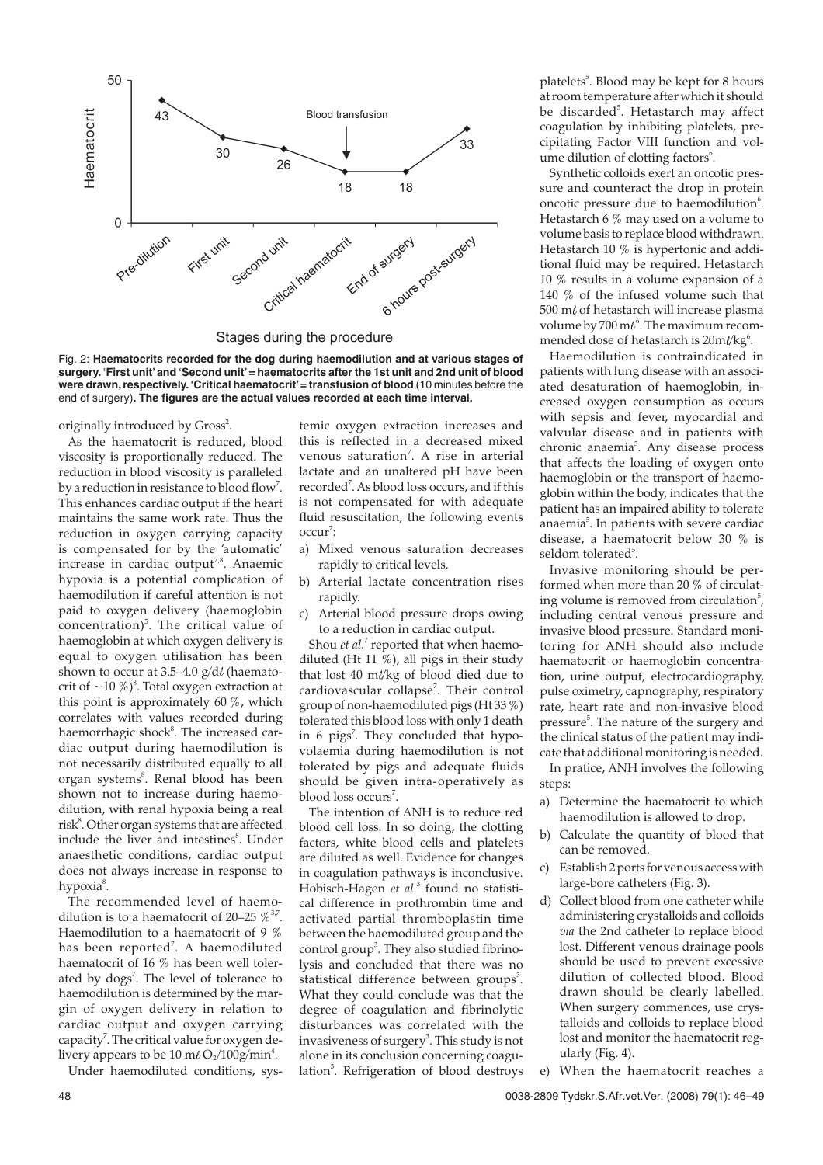

Stages during the procedure

Fig. 2: **Haematocrits recorded for the dog during haemodilution and at various stages of surgery. 'First unit'and 'Second unit'= haematocrits after the 1st unit and 2nd unit of blood were drawn, respectively. 'Critical haematocrit'= transfusion of blood** (10 minutes before the end of surgery)**. The figures are the actual values recorded at each time interval.**

originally introduced by Gross<sup>2</sup>.

As the haematocrit is reduced, blood viscosity is proportionally reduced. The reduction in blood viscosity is paralleled by a reduction in resistance to blood flow<sup>7</sup>. This enhances cardiac output if the heart maintains the same work rate. Thus the reduction in oxygen carrying capacity is compensated for by the 'automatic' increase in cardiac output<sup>7,8</sup>. Anaemic hypoxia is a potential complication of haemodilution if careful attention is not paid to oxygen delivery (haemoglobin concentration)<sup>5</sup>. The critical value of haemoglobin at which oxygen delivery is equal to oxygen utilisation has been shown to occur at 3.5–4.0  $g/d\ell$  (haematocrit of  $\sim$ 10 %)<sup>8</sup>. Total oxygen extraction at this point is approximately 60 %, which correlates with values recorded during haemorrhagic shock<sup>8</sup>. The increased cardiac output during haemodilution is not necessarily distributed equally to all organ systems<sup>8</sup>. Renal blood has been shown not to increase during haemodilution, with renal hypoxia being a real risk<sup>8</sup>. Other organ systems that are affected include the liver and intestines<sup>8</sup>. Under anaesthetic conditions, cardiac output does not always increase in response to hypoxia<sup>8</sup>.

The recommended level of haemodilution is to a haematocrit of 20–25  $\%$ <sup>3,7</sup> Haemodilution to a haematocrit of 9 % has been reported<sup>7</sup>. A haemodiluted haematocrit of 16 % has been well tolerated by dogs<sup>7</sup>. The level of tolerance to haemodilution is determined by the margin of oxygen delivery in relation to cardiac output and oxygen carrying capacity<sup>7</sup>. The critical value for oxygen delivery appears to be 10 m $l$  O<sub>2</sub>/100g/min<sup>4</sup>.

Under haemodiluted conditions, sys-

temic oxygen extraction increases and this is reflected in a decreased mixed venous saturation<sup>7</sup>. A rise in arterial lactate and an unaltered pH have been recorded<sup>7</sup>. As blood loss occurs, and if this is not compensated for with adequate fluid resuscitation, the following events occur<sup>7</sup>:

- a) Mixed venous saturation decreases rapidly to critical levels.
- b) Arterial lactate concentration rises rapidly.
- c) Arterial blood pressure drops owing to a reduction in cardiac output.

Shou *et al.*<sup>7</sup> reported that when haemodiluted (Ht 11  $\%$ ), all pigs in their study that lost 40 m/ $\frac{kg}{kg}$  of blood died due to cardiovascular collapse<sup>7</sup>. Their control group of non-haemodiluted pigs (Ht 33 %) tolerated this blood loss with only 1 death in 6 pigs<sup>7</sup>. They concluded that hypovolaemia during haemodilution is not tolerated by pigs and adequate fluids should be given intra-operatively as blood loss occurs<sup>7</sup>.

The intention of ANH is to reduce red blood cell loss. In so doing, the clotting factors, white blood cells and platelets are diluted as well. Evidence for changes in coagulation pathways is inconclusive. Hobisch-Hagen *et al.*<sup>3</sup> found no statistical difference in prothrombin time and activated partial thromboplastin time between the haemodiluted group and the control group<sup>3</sup>. They also studied fibrinolysis and concluded that there was no statistical difference between groups<sup>3</sup>. What they could conclude was that the degree of coagulation and fibrinolytic disturbances was correlated with the invasiveness of surgery $^3$ . This study is not alone in its conclusion concerning coagulation<sup>3</sup>. Refrigeration of blood destroys

platelets<sup>5</sup>. Blood may be kept for 8 hours at room temperature after which it should be discarded<sup>5</sup>. Hetastarch may affect coagulation by inhibiting platelets, precipitating Factor VIII function and volume dilution of clotting factors<sup>6</sup>.

Synthetic colloids exert an oncotic pressure and counteract the drop in protein oncotic pressure due to haemodilution<sup>6</sup>. Hetastarch 6 % may used on a volume to volume basis to replace blood withdrawn. Hetastarch 10 % is hypertonic and additional fluid may be required. Hetastarch 10 % results in a volume expansion of a 140 % of the infused volume such that 500 m $\ell$  of hetastarch will increase plasma volume by 700 m $t^6$ . The maximum recommended dose of hetastarch is  $20$ m $\ell$ /kg $^6$ .

Haemodilution is contraindicated in patients with lung disease with an associated desaturation of haemoglobin, increased oxygen consumption as occurs with sepsis and fever, myocardial and valvular disease and in patients with chronic anaemia<sup>5</sup>. Any disease process that affects the loading of oxygen onto haemoglobin or the transport of haemoglobin within the body, indicates that the patient has an impaired ability to tolerate anaemia<sup>5</sup>. In patients with severe cardiac disease, a haematocrit below 30 % is seldom tolerated<sup>5</sup>.

Invasive monitoring should be performed when more than 20 % of circulating volume is removed from circulation<sup>5</sup>, including central venous pressure and invasive blood pressure. Standard monitoring for ANH should also include haematocrit or haemoglobin concentration, urine output, electrocardiography, pulse oximetry, capnography, respiratory rate, heart rate and non-invasive blood pressure<sup>5</sup>. The nature of the surgery and the clinical status of the patient may indicate that additional monitoring is needed.

In pratice, ANH involves the following steps:

- a) Determine the haematocrit to which haemodilution is allowed to drop.
- b) Calculate the quantity of blood that can be removed.
- c) Establish 2 ports for venous access with large-bore catheters (Fig. 3).
- Collect blood from one catheter while administering crystalloids and colloids *via* the 2nd catheter to replace blood lost. Different venous drainage pools should be used to prevent excessive dilution of collected blood. Blood drawn should be clearly labelled. When surgery commences, use crystalloids and colloids to replace blood lost and monitor the haematocrit regularly (Fig. 4).
- When the haematocrit reaches a